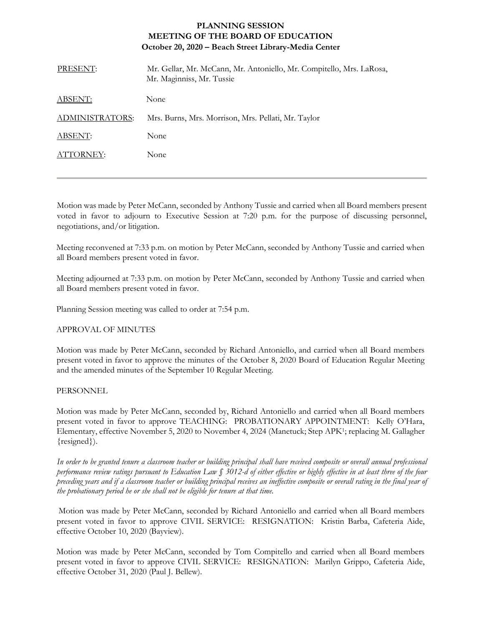## **PLANNING SESSION MEETING OF THE BOARD OF EDUCATION October 20, 2020 – Beach Street Library-Media Center**

| PRESENT:        | Mr. Gellar, Mr. McCann, Mr. Antoniello, Mr. Compitello, Mrs. LaRosa,<br>Mr. Maginniss, Mr. Tussie |
|-----------------|---------------------------------------------------------------------------------------------------|
| <b>ABSENT:</b>  | None                                                                                              |
| ADMINISTRATORS: | Mrs. Burns, Mrs. Morrison, Mrs. Pellati, Mr. Taylor                                               |
| ABSENT:         | None                                                                                              |
| ATTORNEY:       | None                                                                                              |
|                 |                                                                                                   |

Motion was made by Peter McCann, seconded by Anthony Tussie and carried when all Board members present voted in favor to adjourn to Executive Session at 7:20 p.m. for the purpose of discussing personnel, negotiations, and/or litigation.

Meeting reconvened at 7:33 p.m. on motion by Peter McCann, seconded by Anthony Tussie and carried when all Board members present voted in favor.

Meeting adjourned at 7:33 p.m. on motion by Peter McCann, seconded by Anthony Tussie and carried when all Board members present voted in favor.

Planning Session meeting was called to order at 7:54 p.m.

## APPROVAL OF MINUTES

Motion was made by Peter McCann, seconded by Richard Antoniello, and carried when all Board members present voted in favor to approve the minutes of the October 8, 2020 Board of Education Regular Meeting and the amended minutes of the September 10 Regular Meeting.

## PERSONNEL

Motion was made by Peter McCann, seconded by, Richard Antoniello and carried when all Board members present voted in favor to approve TEACHING: PROBATIONARY APPOINTMENT: Kelly O'Hara, Elementary, effective November 5, 2020 to November 4, 2024 (Manetuck; Step APK<sup>1</sup>; replacing M. Gallagher {resigned}).

*In order to be granted tenure a classroom teacher or building principal shall have received composite or overall annual professional performance review ratings pursuant to Education Law § 3012-d of either effective or highly effective in at least three of the four preceding years and if a classroom teacher or building principal receives an ineffective composite or overall rating in the final year of the probationary period he or she shall not be eligible for tenure at that time.*

Motion was made by Peter McCann, seconded by Richard Antoniello and carried when all Board members present voted in favor to approve CIVIL SERVICE: RESIGNATION: Kristin Barba, Cafeteria Aide, effective October 10, 2020 (Bayview).

Motion was made by Peter McCann, seconded by Tom Compitello and carried when all Board members present voted in favor to approve CIVIL SERVICE: RESIGNATION: Marilyn Grippo, Cafeteria Aide, effective October 31, 2020 (Paul J. Bellew).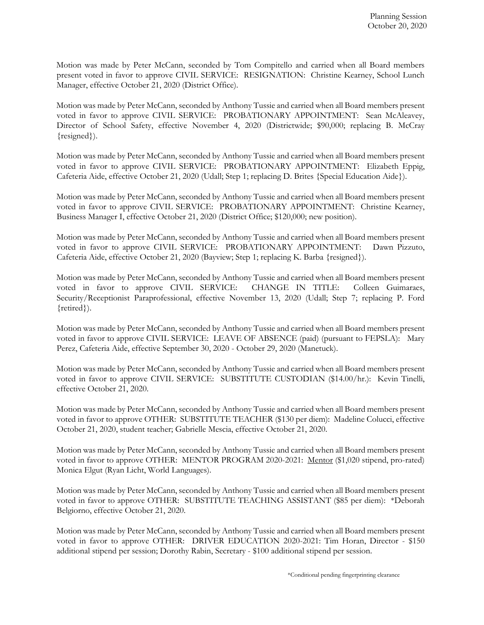Motion was made by Peter McCann, seconded by Tom Compitello and carried when all Board members present voted in favor to approve CIVIL SERVICE: RESIGNATION: Christine Kearney, School Lunch Manager, effective October 21, 2020 (District Office).

Motion was made by Peter McCann, seconded by Anthony Tussie and carried when all Board members present voted in favor to approve CIVIL SERVICE: PROBATIONARY APPOINTMENT: Sean McAleavey, Director of School Safety, effective November 4, 2020 (Districtwide; \$90,000; replacing B. McCray {resigned}).

Motion was made by Peter McCann, seconded by Anthony Tussie and carried when all Board members present voted in favor to approve CIVIL SERVICE: PROBATIONARY APPOINTMENT: Elizabeth Eppig, Cafeteria Aide, effective October 21, 2020 (Udall; Step 1; replacing D. Brites {Special Education Aide}).

Motion was made by Peter McCann, seconded by Anthony Tussie and carried when all Board members present voted in favor to approve CIVIL SERVICE: PROBATIONARY APPOINTMENT: Christine Kearney, Business Manager I, effective October 21, 2020 (District Office; \$120,000; new position).

Motion was made by Peter McCann, seconded by Anthony Tussie and carried when all Board members present voted in favor to approve CIVIL SERVICE: PROBATIONARY APPOINTMENT: Dawn Pizzuto, Cafeteria Aide, effective October 21, 2020 (Bayview; Step 1; replacing K. Barba {resigned}).

Motion was made by Peter McCann, seconded by Anthony Tussie and carried when all Board members present voted in favor to approve CIVIL SERVICE: CHANGE IN TITLE: Colleen Guimaraes, Security/Receptionist Paraprofessional, effective November 13, 2020 (Udall; Step 7; replacing P. Ford {retired}).

Motion was made by Peter McCann, seconded by Anthony Tussie and carried when all Board members present voted in favor to approve CIVIL SERVICE: LEAVE OF ABSENCE (paid) (pursuant to FEPSLA): Mary Perez, Cafeteria Aide, effective September 30, 2020 - October 29, 2020 (Manetuck).

Motion was made by Peter McCann, seconded by Anthony Tussie and carried when all Board members present voted in favor to approve CIVIL SERVICE: SUBSTITUTE CUSTODIAN (\$14.00/hr.): Kevin Tinelli, effective October 21, 2020.

Motion was made by Peter McCann, seconded by Anthony Tussie and carried when all Board members present voted in favor to approve OTHER: SUBSTITUTE TEACHER (\$130 per diem): Madeline Colucci, effective October 21, 2020, student teacher; Gabrielle Mescia, effective October 21, 2020.

Motion was made by Peter McCann, seconded by Anthony Tussie and carried when all Board members present voted in favor to approve OTHER: MENTOR PROGRAM 2020-2021: Mentor (\$1,020 stipend, pro-rated) Monica Elgut (Ryan Licht, World Languages).

Motion was made by Peter McCann, seconded by Anthony Tussie and carried when all Board members present voted in favor to approve OTHER: SUBSTITUTE TEACHING ASSISTANT (\$85 per diem): \*Deborah Belgiorno, effective October 21, 2020.

Motion was made by Peter McCann, seconded by Anthony Tussie and carried when all Board members present voted in favor to approve OTHER: DRIVER EDUCATION 2020-2021: Tim Horan, Director - \$150 additional stipend per session; Dorothy Rabin, Secretary - \$100 additional stipend per session.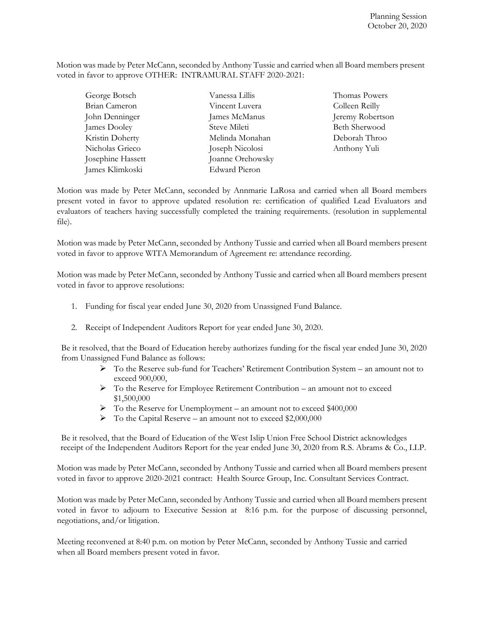Motion was made by Peter McCann, seconded by Anthony Tussie and carried when all Board members present voted in favor to approve OTHER: INTRAMURAL STAFF 2020-2021:

| George Botsch     | Vanessa Lillis   | Thomas Powers    |
|-------------------|------------------|------------------|
| Brian Cameron     | Vincent Luvera   | Colleen Reilly   |
| John Denninger    | James McManus    | Jeremy Robertson |
| James Dooley      | Steve Mileti     | Beth Sherwood    |
| Kristin Doherty   | Melinda Monahan  | Deborah Throo    |
| Nicholas Grieco   | Joseph Nicolosi  | Anthony Yuli     |
| Josephine Hassett | Joanne Orehowsky |                  |
| James Klimkoski   | Edward Pieron    |                  |

Motion was made by Peter McCann, seconded by Annmarie LaRosa and carried when all Board members present voted in favor to approve updated resolution re: certification of qualified Lead Evaluators and evaluators of teachers having successfully completed the training requirements. (resolution in supplemental file).

Motion was made by Peter McCann, seconded by Anthony Tussie and carried when all Board members present voted in favor to approve WITA Memorandum of Agreement re: attendance recording.

Motion was made by Peter McCann, seconded by Anthony Tussie and carried when all Board members present voted in favor to approve resolutions:

- 1. Funding for fiscal year ended June 30, 2020 from Unassigned Fund Balance.
- 2. Receipt of Independent Auditors Report for year ended June 30, 2020.

Be it resolved, that the Board of Education hereby authorizes funding for the fiscal year ended June 30, 2020 from Unassigned Fund Balance as follows:

- To the Reserve sub-fund for Teachers' Retirement Contribution System an amount not to exceed 900,000,
- $\triangleright$  To the Reserve for Employee Retirement Contribution an amount not to exceed \$1,500,000
- $\triangleright$  To the Reserve for Unemployment an amount not to exceed \$400,000
- To the Capital Reserve an amount not to exceed \$2,000,000

 Be it resolved, that the Board of Education of the West Islip Union Free School District acknowledges receipt of the Independent Auditors Report for the year ended June 30, 2020 from R.S. Abrams & Co., LLP.

Motion was made by Peter McCann, seconded by Anthony Tussie and carried when all Board members present voted in favor to approve 2020-2021 contract: Health Source Group, Inc. Consultant Services Contract.

Motion was made by Peter McCann, seconded by Anthony Tussie and carried when all Board members present voted in favor to adjourn to Executive Session at 8:16 p.m. for the purpose of discussing personnel, negotiations, and/or litigation.

Meeting reconvened at 8:40 p.m. on motion by Peter McCann, seconded by Anthony Tussie and carried when all Board members present voted in favor.